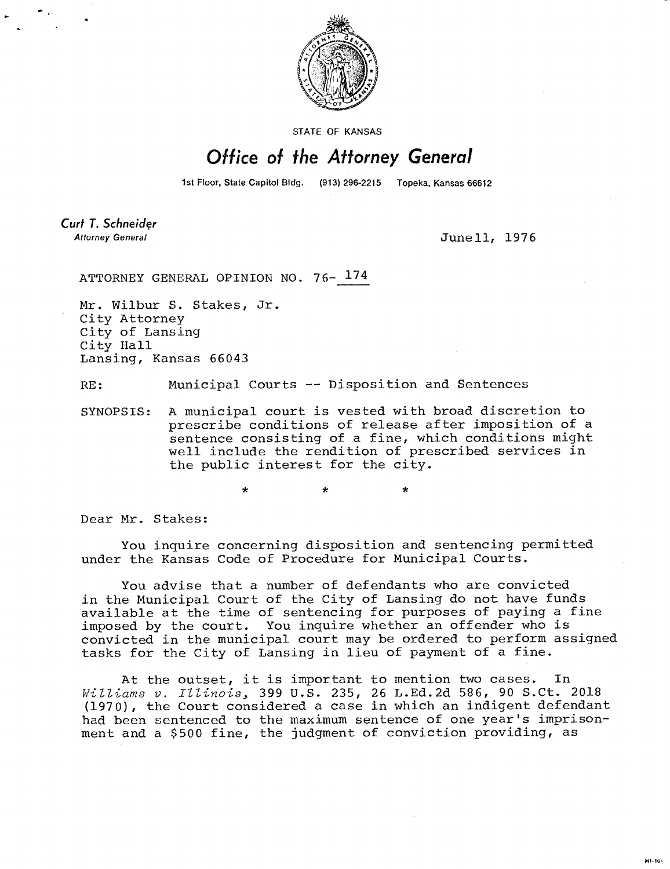

STATE OF KANSAS

## Office of the Attorney General

1st Floor, State Capitol Bldg. (913) 296-2215 Topeka, Kansas 66612

**Curt T. Schneider Attorney General** 

June 11, 1976

ATTORNEY GENERAL OPINION NO. 76- 174

Mr. Wilbur S. Stakes, Jr. City Attorney City of Lansing City Hall Lansing, Kansas 66043

RE: Municipal Courts -- Disposition and Sentences

SYNOPSIS: A municipal court is vested with broad discretion to prescribe conditions of release after imposition of a sentence consisting of a fine, which conditions might well include the rendition of prescribed services in the public interest for the city.

> \* d.

Dear Mr. Stakes:

You inquire concerning disposition and sentencing permitted under the Kansas Code of Procedure for Municipal Courts.

You advise that a number of defendants who are convicted in the Municipal Court of the City of Lansing do not have funds available at the time of sentencing for purposes of paying a fine imposed by the court. You inquire whether an offender who is convicted in the municipal court may be ordered to perform assigned tasks for the City of Lansing in lieu of payment of a fine.

At the outset, it is important to mention two cases. In Williams v. Illinois, 399 U.S. 235, 26 L.Ed.2d 586, 90 S.Ct. 2018 (1970), the Court considered a case in which an indigent defendant had been sentenced to the maximum sentence of one year's imprisonment and a \$500 fine, the judgment of conviction providing, as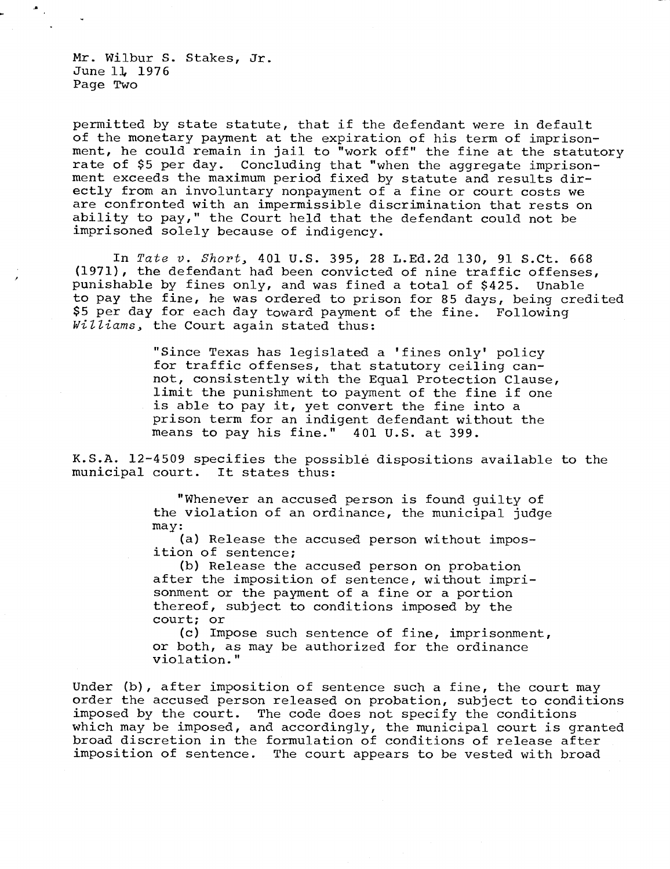Mr. Wilbur S. Stakes, Jr. June 11, 1976 Page Two

permitted by state statute, that if the defendant were in default of the monetary payment at the expiration of his term of imprisonment, he could remain in jail to "work off" the fine at the statutory rate of \$5 per day. Concluding that "when the aggregate imprisonment exceeds the maximum period fixed by statute and results directly from an involuntary nonpayment of a fine or court costs we are confronted with an impermissible discrimination that rests on ability to pay," the Court held that the defendant could not be imprisoned solely because of indigency.

In Tate v. Short, 401 U.S. 395, 28 L.Ed.2d 130, 91 S.Ct. 668 (1971), the defendant had been convicted of nine traffic offenses, punishable by fines only, and was fined a total of \$425. Unable to pay the fine, he was ordered to prison for 85 days, being credited \$5 per day for each day toward payment of the fine. Following Williams, the Court again stated thus:

> "Since Texas has legislated a 'fines only' policy for traffic offenses, that statutory ceiling cannot, consistently with the Equal Protection Clause, limit the punishment to payment of the fine if one is able to pay it, yet convert the fine into a prison term for an indigent defendant without the means to pay his fine." 401 U.S. at 399.

K.S.A. 12-4509 specifies the possible dispositions available to the municipal court. It states thus:

> "Whenever an accused person is found guilty of the violation of an ordinance, the municipal judge may:

(a) Release the accused person without imposition of sentence;

(b) Release the accused person on probation after the imposition of sentence, without imprisonment or the payment of a fine or a portion thereof, subject to conditions imposed by the court; or

(c) Impose such sentence of fine, imprisonment, or both, as may be authorized for the ordinance violation."

Under (b), after imposition of sentence such a fine, the court may order the accused person released on probation, subject to conditions imposed by the court. The code does not specify the conditions which may be imposed, and accordingly, the municipal court is granted broad discretion in the formulation of conditions of release after imposition of sentence. The court appears to be vested with broad